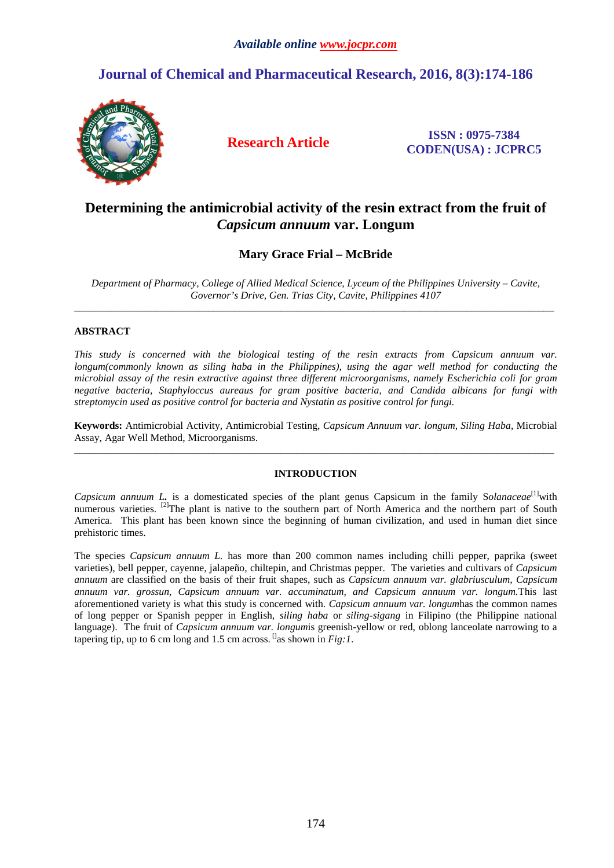# **Journal of Chemical and Pharmaceutical Research, 2016, 8(3):174-186**



**Research Article ISSN : 0975-7384 CODEN(USA) : JCPRC5**

## **Determining the antimicrobial activity of the resin extract from the fruit of**  *Capsicum annuum* **var. Longum**

## **Mary Grace Frial – McBride**

*Department of Pharmacy, College of Allied Medical Science, Lyceum of the Philippines University – Cavite, Governor's Drive, Gen. Trias City, Cavite, Philippines 4107*  \_\_\_\_\_\_\_\_\_\_\_\_\_\_\_\_\_\_\_\_\_\_\_\_\_\_\_\_\_\_\_\_\_\_\_\_\_\_\_\_\_\_\_\_\_\_\_\_\_\_\_\_\_\_\_\_\_\_\_\_\_\_\_\_\_\_\_\_\_\_\_\_\_\_\_\_\_\_\_\_\_\_\_\_\_\_\_\_\_\_\_\_\_

## **ABSTRACT**

*This study is concerned with the biological testing of the resin extracts from Capsicum annuum var. longum(commonly known as siling haba in the Philippines), using the agar well method for conducting the microbial assay of the resin extractive against three different microorganisms, namely Escherichia coli for gram negative bacteria, Staphyloccus aureaus for gram positive bacteria, and Candida albicans for fungi with streptomycin used as positive control for bacteria and Nystatin as positive control for fungi.*

**Keywords:** Antimicrobial Activity, Antimicrobial Testing, *Capsicum Annuum var. longum, Siling Haba*, Microbial Assay, Agar Well Method, Microorganisms. \_\_\_\_\_\_\_\_\_\_\_\_\_\_\_\_\_\_\_\_\_\_\_\_\_\_\_\_\_\_\_\_\_\_\_\_\_\_\_\_\_\_\_\_\_\_\_\_\_\_\_\_\_\_\_\_\_\_\_\_\_\_\_\_\_\_\_\_\_\_\_\_\_\_\_\_\_\_\_\_\_\_\_\_\_\_\_\_\_\_\_\_\_

#### **INTRODUCTION**

*Capsicum annuum L.* is a domesticated species of the plant genus Capsicum in the family Solanaceae<sup>[1]</sup>with numerous varieties. <sup>[2]</sup>The plant is native to the southern part of North America and the northern part of South America. This plant has been known since the beginning of human civilization, and used in human diet since prehistoric times.

The species *Capsicum annuum L.* has more than 200 common names including chilli pepper, paprika (sweet varieties), bell pepper, cayenne, jalapeño, chiltepin, and Christmas pepper. The varieties and cultivars of *Capsicum annuum* are classified on the basis of their fruit shapes, such as *Capsicum annuum var. glabriusculum, Capsicum annuum var. grossun, Capsicum annuum var. accuminatum, and Capsicum annuum var. longum.*This last aforementioned variety is what this study is concerned with. *Capsicum annuum var. longum*has the common names of long pepper or Spanish pepper in English, *siling haba* or *siling-sigang* in Filipino (the Philippine national language). The fruit of *Capsicum annuum var. longum*is greenish-yellow or red, oblong lanceolate narrowing to a tapering tip, up to 6 cm long and 1.5 cm across.  $\mathbb{I}$ as shown in *Fig:1*.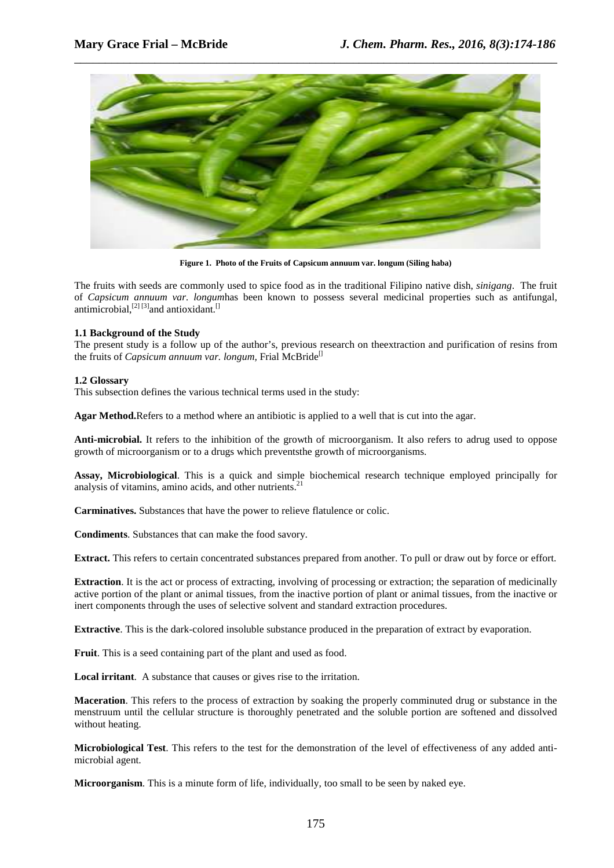

**Figure 1. Photo of the Fruits of Capsicum annuum var. longum (Siling haba)** 

The fruits with seeds are commonly used to spice food as in the traditional Filipino native dish, *sinigang*. The fruit of *Capsicum annuum var. longum*has been known to possess several medicinal properties such as antifungal, antimicrobial,<sup>[2] [3]</sup> and antioxidant.<sup>[1]</sup>

#### **1.1 Background of the Study**

The present study is a follow up of the author's, previous research on theextraction and purification of resins from the fruits of *Capsicum annuum var. longum*, Frial McBride<sup>[]</sup>

#### **1.2 Glossary**

This subsection defines the various technical terms used in the study:

**Agar Method.**Refers to a method where an antibiotic is applied to a well that is cut into the agar.

**Anti-microbial.** It refers to the inhibition of the growth of microorganism. It also refers to adrug used to oppose growth of microorganism or to a drugs which preventsthe growth of microorganisms.

**Assay, Microbiological**. This is a quick and simple biochemical research technique employed principally for analysis of vitamins, amino acids, and other nutrients.<sup>21</sup>

**Carminatives.** Substances that have the power to relieve flatulence or colic.

**Condiments**. Substances that can make the food savory.

**Extract.** This refers to certain concentrated substances prepared from another. To pull or draw out by force or effort.

**Extraction.** It is the act or process of extracting, involving of processing or extraction; the separation of medicinally active portion of the plant or animal tissues, from the inactive portion of plant or animal tissues, from the inactive or inert components through the uses of selective solvent and standard extraction procedures.

**Extractive**. This is the dark-colored insoluble substance produced in the preparation of extract by evaporation.

**Fruit**. This is a seed containing part of the plant and used as food.

**Local irritant**. A substance that causes or gives rise to the irritation.

**Maceration**. This refers to the process of extraction by soaking the properly comminuted drug or substance in the menstruum until the cellular structure is thoroughly penetrated and the soluble portion are softened and dissolved without heating.

**Microbiological Test**. This refers to the test for the demonstration of the level of effectiveness of any added antimicrobial agent.

**Microorganism**. This is a minute form of life, individually, too small to be seen by naked eye.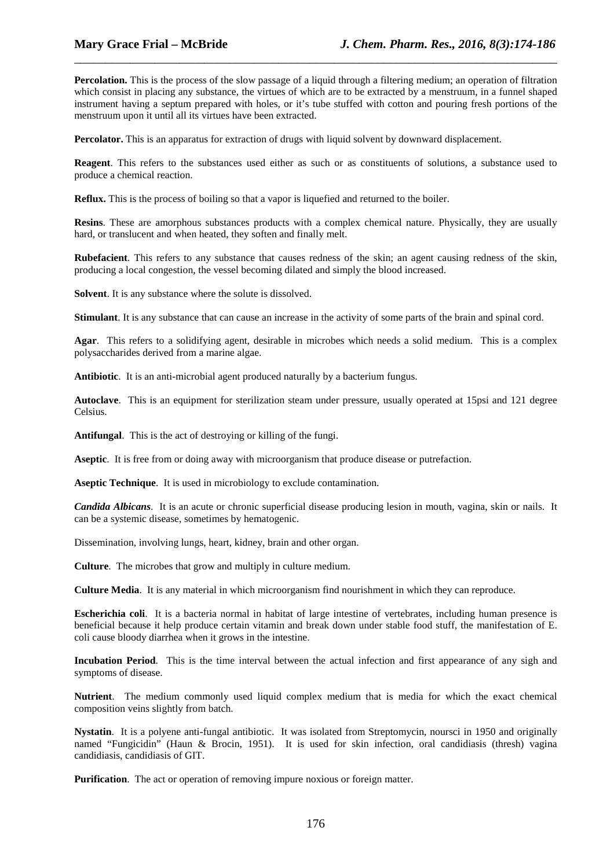**Percolation.** This is the process of the slow passage of a liquid through a filtering medium; an operation of filtration which consist in placing any substance, the virtues of which are to be extracted by a menstruum, in a funnel shaped instrument having a septum prepared with holes, or it's tube stuffed with cotton and pouring fresh portions of the menstruum upon it until all its virtues have been extracted.

\_\_\_\_\_\_\_\_\_\_\_\_\_\_\_\_\_\_\_\_\_\_\_\_\_\_\_\_\_\_\_\_\_\_\_\_\_\_\_\_\_\_\_\_\_\_\_\_\_\_\_\_\_\_\_\_\_\_\_\_\_\_\_\_\_\_\_\_\_\_\_\_\_\_\_\_\_\_

**Percolator.** This is an apparatus for extraction of drugs with liquid solvent by downward displacement.

**Reagent**. This refers to the substances used either as such or as constituents of solutions, a substance used to produce a chemical reaction.

**Reflux.** This is the process of boiling so that a vapor is liquefied and returned to the boiler.

**Resins**. These are amorphous substances products with a complex chemical nature. Physically, they are usually hard, or translucent and when heated, they soften and finally melt.

**Rubefacient**. This refers to any substance that causes redness of the skin; an agent causing redness of the skin, producing a local congestion, the vessel becoming dilated and simply the blood increased.

**Solvent**. It is any substance where the solute is dissolved.

**Stimulant**. It is any substance that can cause an increase in the activity of some parts of the brain and spinal cord.

**Agar**. This refers to a solidifying agent, desirable in microbes which needs a solid medium. This is a complex polysaccharides derived from a marine algae.

**Antibiotic**. It is an anti-microbial agent produced naturally by a bacterium fungus.

**Autoclave**. This is an equipment for sterilization steam under pressure, usually operated at 15psi and 121 degree Celsius.

**Antifungal**. This is the act of destroying or killing of the fungi.

**Aseptic**. It is free from or doing away with microorganism that produce disease or putrefaction.

**Aseptic Technique**. It is used in microbiology to exclude contamination.

*Candida Albicans*. It is an acute or chronic superficial disease producing lesion in mouth, vagina, skin or nails. It can be a systemic disease, sometimes by hematogenic.

Dissemination, involving lungs, heart, kidney, brain and other organ.

**Culture**. The microbes that grow and multiply in culture medium.

**Culture Media**. It is any material in which microorganism find nourishment in which they can reproduce.

**Escherichia coli**. It is a bacteria normal in habitat of large intestine of vertebrates, including human presence is beneficial because it help produce certain vitamin and break down under stable food stuff, the manifestation of E. coli cause bloody diarrhea when it grows in the intestine.

**Incubation Period**. This is the time interval between the actual infection and first appearance of any sigh and symptoms of disease.

**Nutrient**. The medium commonly used liquid complex medium that is media for which the exact chemical composition veins slightly from batch.

**Nystatin**. It is a polyene anti-fungal antibiotic. It was isolated from Streptomycin, noursci in 1950 and originally named "Fungicidin" (Haun & Brocin, 1951). It is used for skin infection, oral candidiasis (thresh) vagina candidiasis, candidiasis of GIT.

**Purification**. The act or operation of removing impure noxious or foreign matter.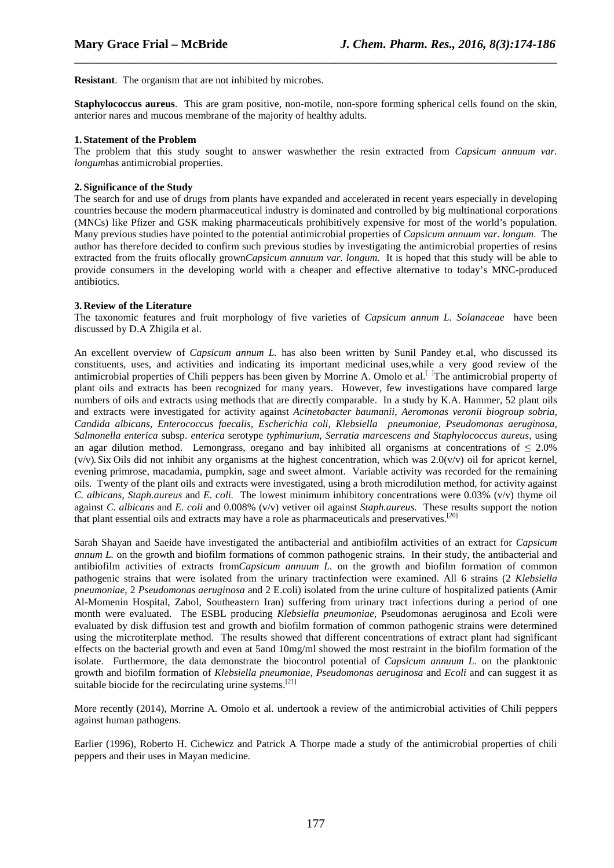**Resistant**. The organism that are not inhibited by microbes.

**Staphylococcus aureus**. This are gram positive, non-motile, non-spore forming spherical cells found on the skin, anterior nares and mucous membrane of the majority of healthy adults.

\_\_\_\_\_\_\_\_\_\_\_\_\_\_\_\_\_\_\_\_\_\_\_\_\_\_\_\_\_\_\_\_\_\_\_\_\_\_\_\_\_\_\_\_\_\_\_\_\_\_\_\_\_\_\_\_\_\_\_\_\_\_\_\_\_\_\_\_\_\_\_\_\_\_\_\_\_\_

#### **1. Statement of the Problem**

The problem that this study sought to answer waswhether the resin extracted from *Capsicum annuum var. longum*has antimicrobial properties.

#### **2. Significance of the Study**

The search for and use of drugs from plants have expanded and accelerated in recent years especially in developing countries because the modern pharmaceutical industry is dominated and controlled by big multinational corporations (MNCs) like Pfizer and GSK making pharmaceuticals prohibitively expensive for most of the world's population. Many previous studies have pointed to the potential antimicrobial properties of *Capsicum annuum var. longum*. The author has therefore decided to confirm such previous studies by investigating the antimicrobial properties of resins extracted from the fruits oflocally grown*Capsicum annuum var. longum.* It is hoped that this study will be able to provide consumers in the developing world with a cheaper and effective alternative to today's MNC-produced antibiotics.

#### **3. Review of the Literature**

The taxonomic features and fruit morphology of five varieties of *Capsicum annum L. Solanaceae* have been discussed by D.A Zhigila et al.

An excellent overview of *Capsicum annum L.* has also been written by Sunil Pandey et.al, who discussed its constituents, uses, and activities and indicating its important medicinal uses,while a very good review of the antimicrobial properties of Chili peppers has been given by Morrine A. Omolo et al.<sup>[ ]</sup>The antimicrobial property of plant oils and extracts has been recognized for many years. However, few investigations have compared large numbers of oils and extracts using methods that are directly comparable. In a study by K.A. Hammer, 52 plant oils and extracts were investigated for activity against *Acinetobacter baumanii, Aeromonas veronii biogroup sobria, Candida albicans, Enterococcus faecalis, Escherichia coli, Klebsiella pneumoniae, Pseudomonas aeruginosa, Salmonella enterica* subsp. *enterica* serotype *typhimurium, Serratia marcescens and Staphylococcus aureus,* using an agar dilution method. Lemongrass, oregano and bay inhibited all organisms at concentrations of  $\leq 2.0\%$  $(v/v)$ . Six Oils did not inhibit any organisms at the highest concentration, which was  $2.0(v/v)$  oil for apricot kernel, evening primrose, macadamia, pumpkin, sage and sweet almont. Variable activity was recorded for the remaining oils. Twenty of the plant oils and extracts were investigated, using a broth microdilution method, for activity against *C. albicans, Staph.aureus* and *E. coli.* The lowest minimum inhibitory concentrations were 0.03% (v/v) thyme oil against *C. albicans* and *E. coli* and 0.008% (v/v) vetiver oil against *Staph.aureus.* These results support the notion that plant essential oils and extracts may have a role as pharmaceuticals and preservatives.<sup>[20]</sup>

Sarah Shayan and Saeide have investigated the antibacterial and antibiofilm activities of an extract for *Capsicum annum L.* on the growth and biofilm formations of common pathogenic strains*.* In their study, the antibacterial and antibiofilm activities of extracts from*Capsicum annuum L.* on the growth and biofilm formation of common pathogenic strains that were isolated from the urinary tractinfection were examined. All 6 strains (2 *Klebsiella pneumoniae*, 2 *Pseudomonas aeruginosa* and 2 E.coli) isolated from the urine culture of hospitalized patients (Amir Al-Momenin Hospital, Zabol, Southeastern Iran) suffering from urinary tract infections during a period of one month were evaluated. The ESBL producing *Klebsiella pneumoniae*, Pseudomonas aeruginosa and Ecoli were evaluated by disk diffusion test and growth and biofilm formation of common pathogenic strains were determined using the microtiterplate method. The results showed that different concentrations of extract plant had significant effects on the bacterial growth and even at 5and 10mg/ml showed the most restraint in the biofilm formation of the isolate. Furthermore, the data demonstrate the biocontrol potential of *Capsicum annuum L.* on the planktonic growth and biofilm formation of *Klebsiella pneumoniae*, *Pseudomonas aeruginosa* and *Ecoli* and can suggest it as suitable biocide for the recirculating urine systems.<sup>[21]</sup>

More recently (2014), Morrine A. Omolo et al. undertook a review of the antimicrobial activities of Chili peppers against human pathogens.

Earlier (1996), Roberto H. Cichewicz and Patrick A Thorpe made a study of the antimicrobial properties of chili peppers and their uses in Mayan medicine.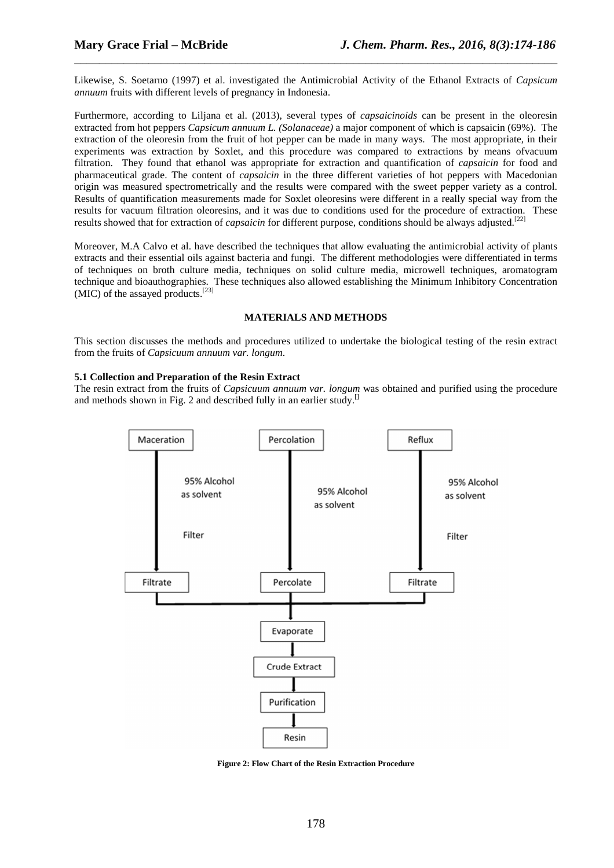Likewise, S. Soetarno (1997) et al. investigated the Antimicrobial Activity of the Ethanol Extracts of *Capsicum annuum* fruits with different levels of pregnancy in Indonesia.

\_\_\_\_\_\_\_\_\_\_\_\_\_\_\_\_\_\_\_\_\_\_\_\_\_\_\_\_\_\_\_\_\_\_\_\_\_\_\_\_\_\_\_\_\_\_\_\_\_\_\_\_\_\_\_\_\_\_\_\_\_\_\_\_\_\_\_\_\_\_\_\_\_\_\_\_\_\_

Furthermore, according to Liljana et al. (2013), several types of *capsaicinoids* can be present in the oleoresin extracted from hot peppers *Capsicum annuum L. (Solanaceae)* a major component of which is capsaicin (69%). The extraction of the oleoresin from the fruit of hot pepper can be made in many ways. The most appropriate, in their experiments was extraction by Soxlet, and this procedure was compared to extractions by means ofvacuum filtration. They found that ethanol was appropriate for extraction and quantification of *capsaicin* for food and pharmaceutical grade. The content of *capsaicin* in the three different varieties of hot peppers with Macedonian origin was measured spectrometrically and the results were compared with the sweet pepper variety as a control. Results of quantification measurements made for Soxlet oleoresins were different in a really special way from the results for vacuum filtration oleoresins, and it was due to conditions used for the procedure of extraction. These results showed that for extraction of *capsaicin* for different purpose, conditions should be always adjusted.<sup>[22]</sup>

Moreover, M.A Calvo et al. have described the techniques that allow evaluating the antimicrobial activity of plants extracts and their essential oils against bacteria and fungi. The different methodologies were differentiated in terms of techniques on broth culture media, techniques on solid culture media, microwell techniques, aromatogram technique and bioauthographies. These techniques also allowed establishing the Minimum Inhibitory Concentration (MIC) of the assayed products.<sup>[23]</sup>

#### **MATERIALS AND METHODS**

This section discusses the methods and procedures utilized to undertake the biological testing of the resin extract from the fruits of *Capsicuum annuum var. longum*.

#### **5.1 Collection and Preparation of the Resin Extract**

The resin extract from the fruits of *Capsicuum annuum var. longum* was obtained and purified using the procedure and methods shown in Fig. 2 and described fully in an earlier study.<sup>[]</sup>



**Figure 2: Flow Chart of the Resin Extraction Procedure**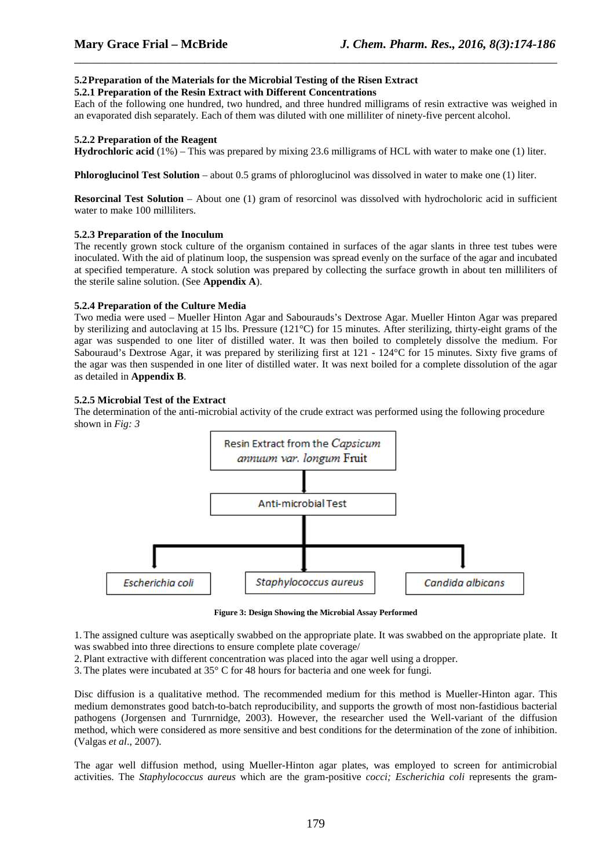### **5.2Preparation of the Materials for the Microbial Testing of the Risen Extract**

#### **5.2.1 Preparation of the Resin Extract with Different Concentrations**

Each of the following one hundred, two hundred, and three hundred milligrams of resin extractive was weighed in an evaporated dish separately. Each of them was diluted with one milliliter of ninety-five percent alcohol.

\_\_\_\_\_\_\_\_\_\_\_\_\_\_\_\_\_\_\_\_\_\_\_\_\_\_\_\_\_\_\_\_\_\_\_\_\_\_\_\_\_\_\_\_\_\_\_\_\_\_\_\_\_\_\_\_\_\_\_\_\_\_\_\_\_\_\_\_\_\_\_\_\_\_\_\_\_\_

#### **5.2.2 Preparation of the Reagent**

**Hydrochloric acid** (1%) – This was prepared by mixing 23.6 milligrams of HCL with water to make one (1) liter.

**Phloroglucinol Test Solution** – about 0.5 grams of phloroglucinol was dissolved in water to make one (1) liter.

**Resorcinal Test Solution** – About one (1) gram of resorcinol was dissolved with hydrocholoric acid in sufficient water to make 100 milliliters.

#### **5.2.3 Preparation of the Inoculum**

The recently grown stock culture of the organism contained in surfaces of the agar slants in three test tubes were inoculated. With the aid of platinum loop, the suspension was spread evenly on the surface of the agar and incubated at specified temperature. A stock solution was prepared by collecting the surface growth in about ten milliliters of the sterile saline solution. (See **Appendix A**).

#### **5.2.4 Preparation of the Culture Media**

Two media were used – Mueller Hinton Agar and Sabourauds's Dextrose Agar. Mueller Hinton Agar was prepared by sterilizing and autoclaving at 15 lbs. Pressure (121°C) for 15 minutes. After sterilizing, thirty-eight grams of the agar was suspended to one liter of distilled water. It was then boiled to completely dissolve the medium. For Sabouraud's Dextrose Agar, it was prepared by sterilizing first at 121 - 124°C for 15 minutes. Sixty five grams of the agar was then suspended in one liter of distilled water. It was next boiled for a complete dissolution of the agar as detailed in **Appendix B**.

#### **5.2.5 Microbial Test of the Extract**

The determination of the anti-microbial activity of the crude extract was performed using the following procedure shown in *Fig: 3*



**Figure 3: Design Showing the Microbial Assay Performed** 

1.The assigned culture was aseptically swabbed on the appropriate plate. It was swabbed on the appropriate plate. It was swabbed into three directions to ensure complete plate coverage/

2. Plant extractive with different concentration was placed into the agar well using a dropper.

3.The plates were incubated at 35° C for 48 hours for bacteria and one week for fungi.

Disc diffusion is a qualitative method. The recommended medium for this method is Mueller-Hinton agar. This medium demonstrates good batch-to-batch reproducibility, and supports the growth of most non-fastidious bacterial pathogens (Jorgensen and Turnrnidge, 2003). However, the researcher used the Well-variant of the diffusion method, which were considered as more sensitive and best conditions for the determination of the zone of inhibition. (Valgas *et al*., 2007).

The agar well diffusion method, using Mueller-Hinton agar plates, was employed to screen for antimicrobial activities. The *Staphylococcus aureus* which are the gram-positive *cocci; Escherichia coli* represents the gram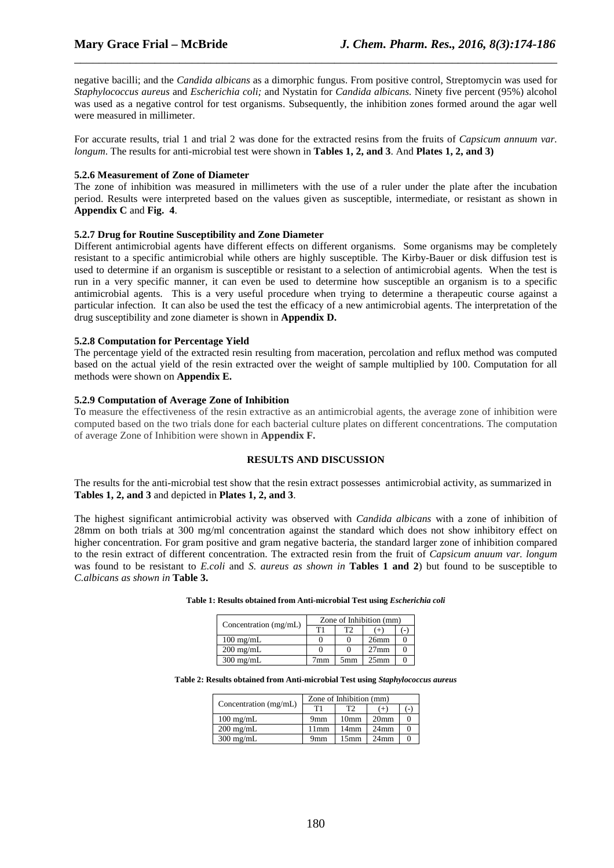negative bacilli; and the *Candida albicans* as a dimorphic fungus. From positive control, Streptomycin was used for *Staphylococcus aureus* and *Escherichia coli;* and Nystatin for *Candida albicans.* Ninety five percent (95%) alcohol was used as a negative control for test organisms. Subsequently, the inhibition zones formed around the agar well were measured in millimeter.

\_\_\_\_\_\_\_\_\_\_\_\_\_\_\_\_\_\_\_\_\_\_\_\_\_\_\_\_\_\_\_\_\_\_\_\_\_\_\_\_\_\_\_\_\_\_\_\_\_\_\_\_\_\_\_\_\_\_\_\_\_\_\_\_\_\_\_\_\_\_\_\_\_\_\_\_\_\_

For accurate results, trial 1 and trial 2 was done for the extracted resins from the fruits of *Capsicum annuum var. longum*. The results for anti-microbial test were shown in **Tables 1, 2, and 3**. And **Plates 1, 2, and 3)** 

#### **5.2.6 Measurement of Zone of Diameter**

The zone of inhibition was measured in millimeters with the use of a ruler under the plate after the incubation period. Results were interpreted based on the values given as susceptible, intermediate, or resistant as shown in **Appendix C** and **Fig. 4**.

#### **5.2.7 Drug for Routine Susceptibility and Zone Diameter**

Different antimicrobial agents have different effects on different organisms. Some organisms may be completely resistant to a specific antimicrobial while others are highly susceptible. The Kirby-Bauer or disk diffusion test is used to determine if an organism is susceptible or resistant to a selection of antimicrobial agents. When the test is run in a very specific manner, it can even be used to determine how susceptible an organism is to a specific antimicrobial agents. This is a very useful procedure when trying to determine a therapeutic course against a particular infection. It can also be used the test the efficacy of a new antimicrobial agents. The interpretation of the drug susceptibility and zone diameter is shown in **Appendix D.**

#### **5.2.8 Computation for Percentage Yield**

The percentage yield of the extracted resin resulting from maceration, percolation and reflux method was computed based on the actual yield of the resin extracted over the weight of sample multiplied by 100. Computation for all methods were shown on **Appendix E.**

#### **5.2.9 Computation of Average Zone of Inhibition**

To measure the effectiveness of the resin extractive as an antimicrobial agents, the average zone of inhibition were computed based on the two trials done for each bacterial culture plates on different concentrations. The computation of average Zone of Inhibition were shown in **Appendix F.**

### **RESULTS AND DISCUSSION**

The results for the anti-microbial test show that the resin extract possesses antimicrobial activity, as summarized in **Tables 1, 2, and 3** and depicted in **Plates 1, 2, and 3**.

The highest significant antimicrobial activity was observed with *Candida albicans* with a zone of inhibition of 28mm on both trials at 300 mg/ml concentration against the standard which does not show inhibitory effect on higher concentration. For gram positive and gram negative bacteria, the standard larger zone of inhibition compared to the resin extract of different concentration. The extracted resin from the fruit of *Capsicum anuum var. longum*  was found to be resistant to *E.coli* and *S. aureus as shown in* **Tables 1 and 2**) but found to be susceptible to *C.albicans as shown in* **Table 3.**

| Concentration (mg/mL) | Zone of Inhibition (mm) |     |                  |  |
|-----------------------|-------------------------|-----|------------------|--|
|                       | T1                      | T   | $+$              |  |
| $100 \text{ mg/mL}$   |                         |     | 26mm             |  |
| $200 \text{ mg/mL}$   |                         |     | $27$ mm          |  |
| $300 \text{ mg/mL}$   | 7mm                     | 5mm | 25 <sub>mm</sub> |  |

#### **Table 1: Results obtained from Anti-microbial Test using** *Escherichia coli*

#### **Table 2: Results obtained from Anti-microbial Test using** *Staphylococcus aureus*

| Concentration (mg/mL) | Zone of Inhibition (mm) |                  |                  |        |
|-----------------------|-------------------------|------------------|------------------|--------|
|                       | T1                      | T2               | $^{(+)}$         | $(-)$  |
| $100 \text{ mg/mL}$   | 9 <sub>mm</sub>         | 10 <sub>mm</sub> | 20 <sub>mm</sub> |        |
| $200 \text{ mg/mL}$   | 11mm                    | 14 <sub>mm</sub> | $24$ mm          | $_{0}$ |
| $300 \text{ mg/mL}$   | 9mm                     | 15mm             | 24 <sub>mm</sub> |        |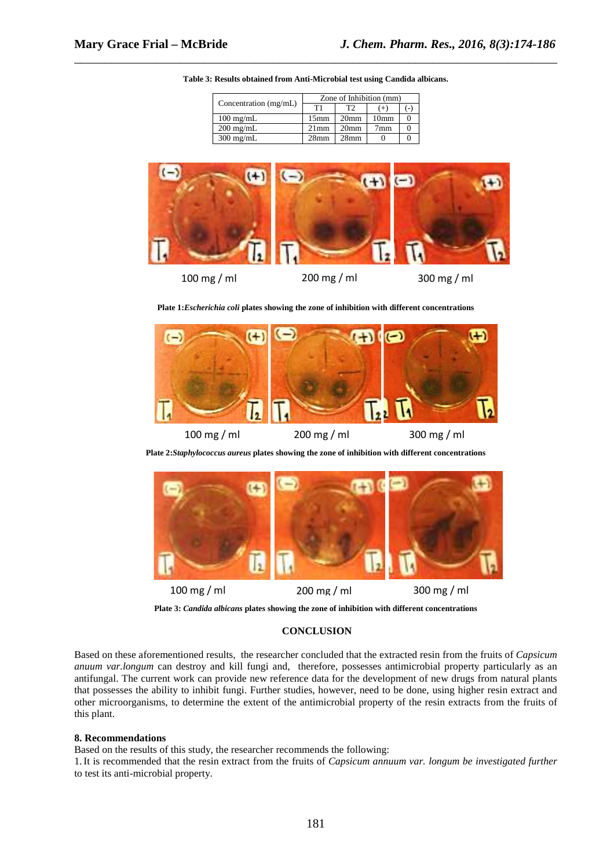| Concentration (mg/mL) | Zone of Inhibition (mm) |                  |                  |  |
|-----------------------|-------------------------|------------------|------------------|--|
|                       | T1                      |                  |                  |  |
| $100 \text{ mg/mL}$   | 15 <sub>mm</sub>        | 20 <sub>mm</sub> | 10 <sub>mm</sub> |  |
| $200 \text{ mg/mL}$   | $21$ mm                 | 20 <sub>mm</sub> | 7mm              |  |
| $300 \text{ mg/mL}$   | 28 <sub>mm</sub>        | 28 <sub>mm</sub> |                  |  |

**Table 3: Results obtained from Anti-Microbial test using Candida albicans.** 

\_\_\_\_\_\_\_\_\_\_\_\_\_\_\_\_\_\_\_\_\_\_\_\_\_\_\_\_\_\_\_\_\_\_\_\_\_\_\_\_\_\_\_\_\_\_\_\_\_\_\_\_\_\_\_\_\_\_\_\_\_\_\_\_\_\_\_\_\_\_\_\_\_\_\_\_\_\_



**Plate 1:***Escherichia coli* **plates showing the zone of inhibition with different concentrations** 



**Plate 2:***Staphylococcus aureus* **plates showing the zone of inhibition with different concentrations** 



**Plate 3:** *Candida albicans* **plates showing the zone of inhibition with different concentrations** 

#### **CONCLUSION**

Based on these aforementioned results, the researcher concluded that the extracted resin from the fruits of *Capsicum anuum var.longum* can destroy and kill fungi and, therefore, possesses antimicrobial property particularly as an antifungal. The current work can provide new reference data for the development of new drugs from natural plants that possesses the ability to inhibit fungi. Further studies, however, need to be done, using higher resin extract and other microorganisms, to determine the extent of the antimicrobial property of the resin extracts from the fruits of this plant.

#### **8. Recommendations**

Based on the results of this study, the researcher recommends the following:

1.It is recommended that the resin extract from the fruits of *Capsicum annuum var. longum be investigated further* to test its anti-microbial property.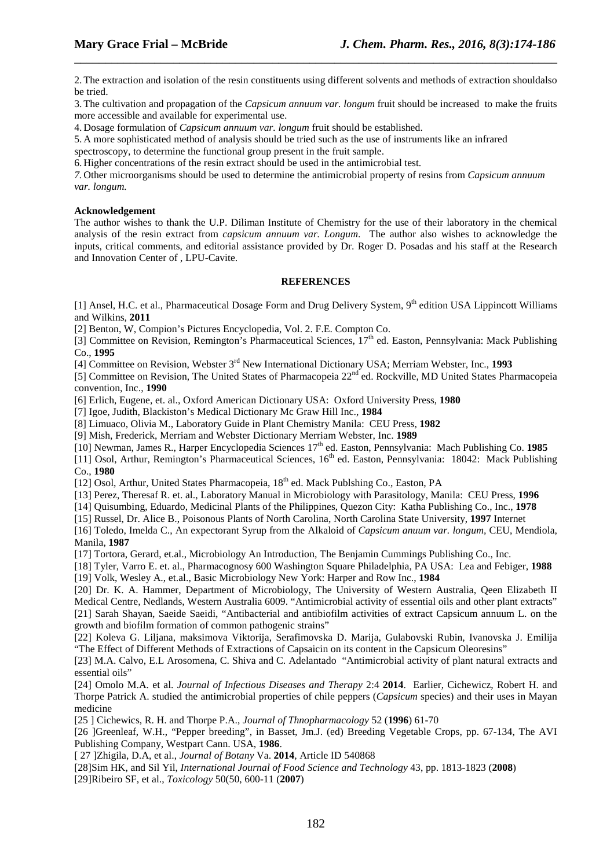2.The extraction and isolation of the resin constituents using different solvents and methods of extraction shouldalso be tried.

\_\_\_\_\_\_\_\_\_\_\_\_\_\_\_\_\_\_\_\_\_\_\_\_\_\_\_\_\_\_\_\_\_\_\_\_\_\_\_\_\_\_\_\_\_\_\_\_\_\_\_\_\_\_\_\_\_\_\_\_\_\_\_\_\_\_\_\_\_\_\_\_\_\_\_\_\_\_

3.The cultivation and propagation of the *Capsicum annuum var. longum* fruit should be increased to make the fruits more accessible and available for experimental use.

4. Dosage formulation of *Capsicum annuum var. longum* fruit should be established.

5. A more sophisticated method of analysis should be tried such as the use of instruments like an infrared

spectroscopy, to determine the functional group present in the fruit sample.

6. Higher concentrations of the resin extract should be used in the antimicrobial test.

*7.* Other microorganisms should be used to determine the antimicrobial property of resins from *Capsicum annuum var. longum.* 

#### **Acknowledgement**

The author wishes to thank the U.P. Diliman Institute of Chemistry for the use of their laboratory in the chemical analysis of the resin extract from *capsicum annuum var. Longum*. The author also wishes to acknowledge the inputs, critical comments, and editorial assistance provided by Dr. Roger D. Posadas and his staff at the Research and Innovation Center of , LPU-Cavite.

#### **REFERENCES**

[1] Ansel, H.C. et al., Pharmaceutical Dosage Form and Drug Delivery System, 9<sup>th</sup> edition USA Lippincott Williams and Wilkins, **2011**

[2] Benton, W, Compion's Pictures Encyclopedia, Vol. 2. F.E. Compton Co.

[3] Committee on Revision, Remington's Pharmaceutical Sciences,  $17<sup>th</sup>$  ed. Easton, Pennsylvania: Mack Publishing Co., **1995**

[4] Committee on Revision, Webster 3rd New International Dictionary USA; Merriam Webster, Inc., **1993**

[5] Committee on Revision, The United States of Pharmacopeia 22<sup>nd</sup> ed. Rockville, MD United States Pharmacopeia convention, Inc., **1990**

[6] Erlich, Eugene, et. al., Oxford American Dictionary USA: Oxford University Press, **1980**

[7] Igoe, Judith, Blackiston's Medical Dictionary Mc Graw Hill Inc., **1984**

[8] Limuaco, Olivia M., Laboratory Guide in Plant Chemistry Manila: CEU Press, **1982**

[9] Mish, Frederick, Merriam and Webster Dictionary Merriam Webster, Inc. **1989**

[10] Newman, James R., Harper Encyclopedia Sciences 17th ed. Easton, Pennsylvania: Mach Publishing Co. **1985**

[11] Osol, Arthur, Remington's Pharmaceutical Sciences,  $16<sup>th</sup>$  ed. Easton, Pennsylvania: 18042: Mack Publishing Co., **1980**

[12] Osol, Arthur, United States Pharmacopeia,  $18<sup>th</sup>$  ed. Mack Publshing Co., Easton, PA

[13] Perez, Theresaf R. et. al., Laboratory Manual in Microbiology with Parasitology, Manila: CEU Press, **1996**

[14] Quisumbing, Eduardo, Medicinal Plants of the Philippines, Quezon City: Katha Publishing Co., Inc., **1978**

[15] Russel, Dr. Alice B., Poisonous Plants of North Carolina, North Carolina State University, **1997** Internet

[16] Toledo, Imelda C., An expectorant Syrup from the Alkaloid of *Capsicum anuum var. longum,* CEU, Mendiola, Manila, **1987**

[17] Tortora, Gerard, et.al., Microbiology An Introduction, The Benjamin Cummings Publishing Co., Inc.

[18] Tyler, Varro E. et. al., Pharmacognosy 600 Washington Square Philadelphia, PA USA: Lea and Febiger, **1988** [19] Volk, Wesley A., et.al., Basic Microbiology New York: Harper and Row Inc., **1984**

[20] Dr. K. A. Hammer, Department of Microbiology, The University of Western Australia, Qeen Elizabeth II Medical Centre, Nedlands, Western Australia 6009. "Antimicrobial activity of essential oils and other plant extracts" [21] Sarah Shayan, Saeide Saeidi, "Antibacterial and antibiofilm activities of extract Capsicum annuum L. on the growth and biofilm formation of common pathogenic strains"

[22] Koleva G. Liljana, maksimova Viktorija, Serafimovska D. Marija, Gulabovski Rubin, Ivanovska J. Emilija "The Effect of Different Methods of Extractions of Capsaicin on its content in the Capsicum Oleoresins"

[23] M.A. Calvo, E.L Arosomena, C. Shiva and C. Adelantado "Antimicrobial activity of plant natural extracts and essential oils"

[24] Omolo M.A. et al. *Journal of Infectious Diseases and Therapy* 2:4 **2014**. Earlier, Cichewicz, Robert H. and Thorpe Patrick A. studied the antimicrobial properties of chile peppers (*Capsicum* species) and their uses in Mayan medicine

[25 ] Cichewics, R. H. and Thorpe P.A., *Journal of Thnopharmacology* 52 (**1996**) 61-70

[26 ]Greenleaf, W.H., "Pepper breeding", in Basset, Jm.J. (ed) Breeding Vegetable Crops, pp. 67-134, The AVI Publishing Company, Westpart Cann. USA, **1986**.

[ 27 ]Zhigila, D.A, et al., *Journal of Botany* Va. **2014**, Article ID 540868

[28]Sim HK, and Sil Yil, *International Journal of Food Science and Technology* 43, pp. 1813-1823 (**2008**)

[29]Ribeiro SF, et al., *Toxicology* 50(50, 600-11 (**2007**)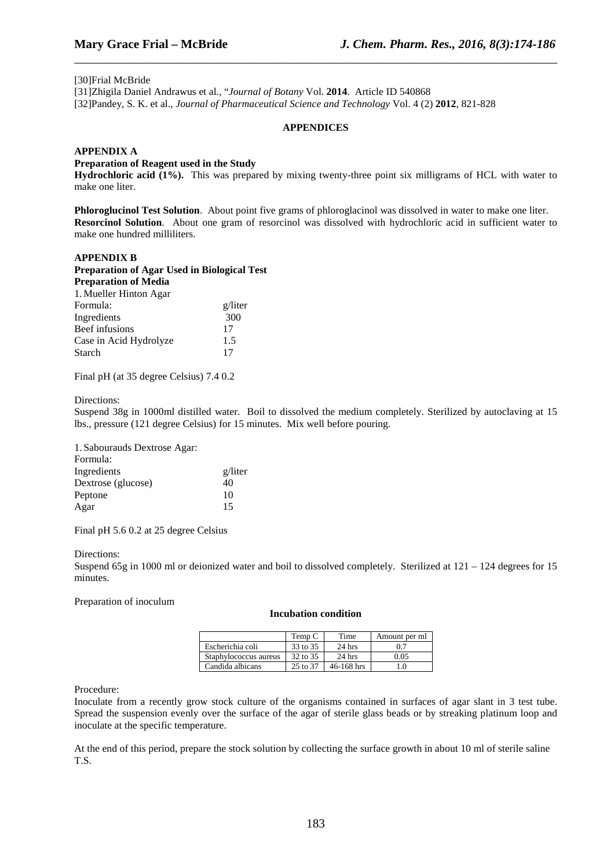#### [30]Frial McBride

[31]Zhigila Daniel Andrawus et al., "*Journal of Botany* Vol. **2014**. Article ID 540868 [32]Pandey, S. K. et al., *Journal of Pharmaceutical Science and Technology* Vol. 4 (2) **2012**, 821-828

#### **APPENDICES**

\_\_\_\_\_\_\_\_\_\_\_\_\_\_\_\_\_\_\_\_\_\_\_\_\_\_\_\_\_\_\_\_\_\_\_\_\_\_\_\_\_\_\_\_\_\_\_\_\_\_\_\_\_\_\_\_\_\_\_\_\_\_\_\_\_\_\_\_\_\_\_\_\_\_\_\_\_\_

#### **APPENDIX A**

#### **Preparation of Reagent used in the Study**

**Hydrochloric acid (1%).** This was prepared by mixing twenty-three point six milligrams of HCL with water to make one liter.

**Phloroglucinol Test Solution**. About point five grams of phloroglacinol was dissolved in water to make one liter. **Resorcinol Solution**. About one gram of resorcinol was dissolved with hydrochloric acid in sufficient water to make one hundred milliliters.

#### **APPENDIX B**

| <b>Preparation of Agar Used in Biological Test</b> |         |
|----------------------------------------------------|---------|
| <b>Preparation of Media</b>                        |         |
| 1. Mueller Hinton Agar                             |         |
| Formula:                                           | g/liter |
| Ingredients                                        | 300     |
| Beef infusions                                     | 17      |
| Case in Acid Hydrolyze                             | 1.5     |
| Starch                                             |         |

Final pH (at 35 degree Celsius) 7.4 0.2

#### Directions:

Suspend 38g in 1000ml distilled water. Boil to dissolved the medium completely. Sterilized by autoclaving at 15 lbs., pressure (121 degree Celsius) for 15 minutes. Mix well before pouring.

| 1. Sabourauds Dextrose Agar: |         |
|------------------------------|---------|
| Formula:                     |         |
| Ingredients                  | g/liter |
| Dextrose (glucose)           | 40      |
| Peptone                      | 10      |
| Agar                         | 15      |

Final pH 5.6 0.2 at 25 degree Celsius

#### Directions:

Suspend 65g in 1000 ml or deionized water and boil to dissolved completely. Sterilized at 121 – 124 degrees for 15 minutes.

Preparation of inoculum

#### **Incubation condition**

|                       | Temp C   | Time           | Amount per ml |
|-----------------------|----------|----------------|---------------|
| Escherichia coli      | 33 to 35 | $24$ hrs       |               |
| Staphylococcus aureus | 32 to 35 | $24$ hrs       | 0.05          |
| Candida albicans      | 25 to 37 | $46 - 168$ hrs |               |

Procedure:

Inoculate from a recently grow stock culture of the organisms contained in surfaces of agar slant in 3 test tube. Spread the suspension evenly over the surface of the agar of sterile glass beads or by streaking platinum loop and inoculate at the specific temperature.

At the end of this period, prepare the stock solution by collecting the surface growth in about 10 ml of sterile saline T.S.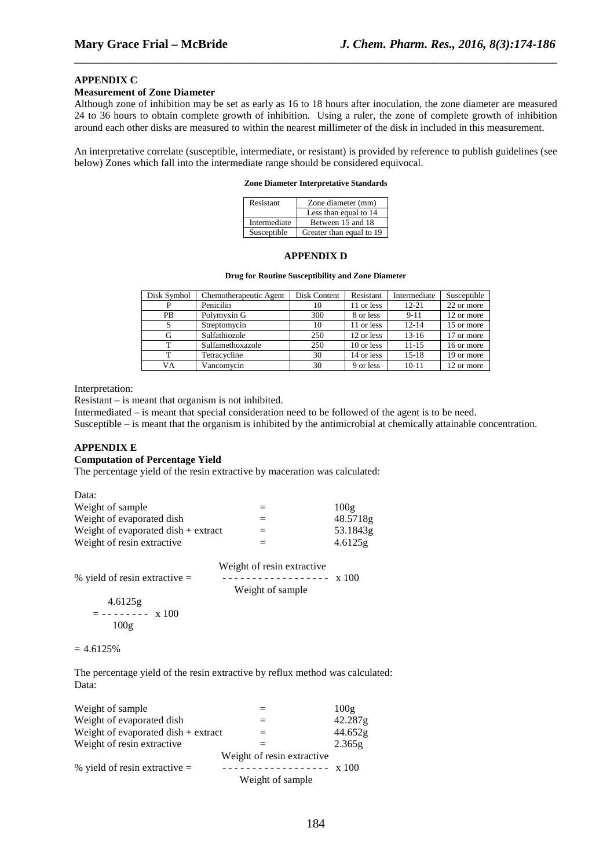#### **APPENDIX C**

#### **Measurement of Zone Diameter**

Although zone of inhibition may be set as early as 16 to 18 hours after inoculation, the zone diameter are measured 24 to 36 hours to obtain complete growth of inhibition. Using a ruler, the zone of complete growth of inhibition around each other disks are measured to within the nearest millimeter of the disk in included in this measurement.

\_\_\_\_\_\_\_\_\_\_\_\_\_\_\_\_\_\_\_\_\_\_\_\_\_\_\_\_\_\_\_\_\_\_\_\_\_\_\_\_\_\_\_\_\_\_\_\_\_\_\_\_\_\_\_\_\_\_\_\_\_\_\_\_\_\_\_\_\_\_\_\_\_\_\_\_\_\_

An interpretative correlate (susceptible, intermediate, or resistant) is provided by reference to publish guidelines (see below) Zones which fall into the intermediate range should be considered equivocal.

#### **Zone Diameter Interpretative Standards**

| Resistant    | Zone diameter (mm)       |
|--------------|--------------------------|
|              | Less than equal to 14    |
| Intermediate | Between 15 and 18        |
| Susceptible  | Greater than equal to 19 |

## **APPENDIX D**

#### **Drug for Routine Susceptibility and Zone Diameter**

| Disk Symbol | Chemotherapeutic Agent | Disk Content | Resistant  | Intermediate | Susceptible |
|-------------|------------------------|--------------|------------|--------------|-------------|
|             | Penicilin              | 10           | 11 or less | $12 - 21$    | 22 or more  |
| <b>PB</b>   | Polymyxin G            | 300          | 8 or less  | $9 - 11$     | 12 or more  |
|             | Streptomycin           | 10           | 11 or less | $12 - 14$    | 15 or more  |
| G           | Sulfathiozole          | 250          | 12 or less | $13-16$      | 17 or more  |
|             | Sulfamethoxazole       | 250          | 10 or less | $11 - 15$    | 16 or more  |
|             | Tetracycline           | 30           | 14 or less | $15-18$      | 19 or more  |
| VA          | Vancomvcin             | 30           | 9 or less  | $10 - 11$    | 12 or more  |

Interpretation:

Resistant – is meant that organism is not inhibited.

Intermediated – is meant that special consideration need to be followed of the agent is to be need.

Susceptible – is meant that the organism is inhibited by the antimicrobial at chemically attainable concentration.

## **APPENDIX E**

### **Computation of Percentage Yield**

The percentage yield of the resin extractive by maceration was calculated:

| Data:                                 |     |          |
|---------------------------------------|-----|----------|
| Weight of sample                      | $=$ | 100g     |
| Weight of evaporated dish             | $=$ | 48.5718g |
| Weight of evaporated dish $+$ extract | $=$ | 53.1843g |
| Weight of resin extractive            | $=$ | 4.6125g  |

|                                 | $\ldots$ eight of resm entered $\ldots$ |  |
|---------------------------------|-----------------------------------------|--|
| % yield of resin extractive $=$ | ------------------ x 100                |  |
|                                 | Weight of sample                        |  |
| 4.6125g                         |                                         |  |
| $= - - - - - - -$ x 100         |                                         |  |
| 100g                            |                                         |  |
|                                 |                                         |  |

Weight of resin extractive

#### $= 4.6125%$

The percentage yield of the resin extractive by reflux method was calculated: Data:

| Weight of sample                      |                            | 100g    |
|---------------------------------------|----------------------------|---------|
| Weight of evaporated dish             |                            | 42.287g |
| Weight of evaporated dish $+$ extract |                            | 44.652g |
| Weight of resin extractive            |                            | 2.365g  |
|                                       | Weight of resin extractive |         |
| % yield of resin extractive $=$       | $---------x100$            |         |
|                                       | Weight of sample           |         |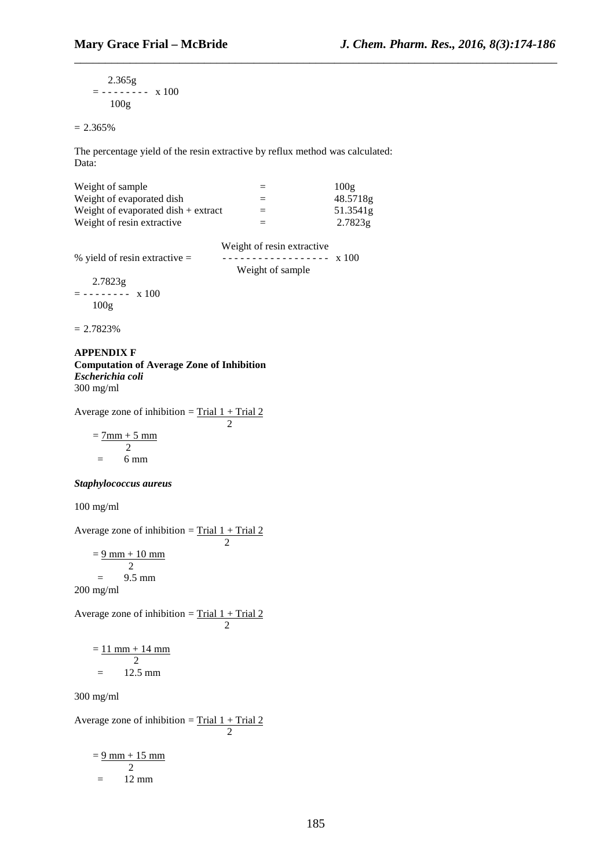2.365g  $=$  - - - - - - - x 100 100g

 $= 2.365\%$ 

The percentage yield of the resin extractive by reflux method was calculated: Data:

\_\_\_\_\_\_\_\_\_\_\_\_\_\_\_\_\_\_\_\_\_\_\_\_\_\_\_\_\_\_\_\_\_\_\_\_\_\_\_\_\_\_\_\_\_\_\_\_\_\_\_\_\_\_\_\_\_\_\_\_\_\_\_\_\_\_\_\_\_\_\_\_\_\_\_\_\_\_

| Weight of sample                      | $=$ | 100g     |
|---------------------------------------|-----|----------|
| Weight of evaporated dish             | $=$ | 48.5718g |
| Weight of evaporated dish $+$ extract | $=$ | 51.3541g |
| Weight of resin extractive.           | $=$ | 2.7823g  |

| % yield of resin extractive $=$ | Weight of resin extractive |  |
|---------------------------------|----------------------------|--|
|                                 | Weight of sample           |  |
| 2.7823g                         |                            |  |
|                                 |                            |  |
| 100g                            |                            |  |

 $= 2.7823%$ 

#### **APPENDIX F Computation of Average Zone of Inhibition**  *Escherichia coli*  300 mg/ml

Average zone of inhibition =  $Trial 1 + Trial 2$ 2

 $= 7$ mm + 5 mm 2  $= 6$  mm

## *Staphylococcus aureus*

100 mg/ml

Average zone of inhibition =  $\frac{\text{Trial } 1 + \text{Trial } 2}{2}$  2  $= 9$  mm + 10 mm 2  $=$  9.5 mm 200 mg/ml Average zone of inhibition =  $\frac{\text{Trial } 1 + \text{Trial } 2}{2}$ 2

$$
= \frac{11 \text{ mm} + 14 \text{ mm}}{2}
$$

$$
= 12.5 \text{ mm}
$$

300 mg/ml

Average zone of inhibition =  $Trial 1 + Trial 2$ 2

$$
= \frac{9 \text{ mm} + 15 \text{ mm}}{2}
$$

$$
= 12 \text{ mm}
$$